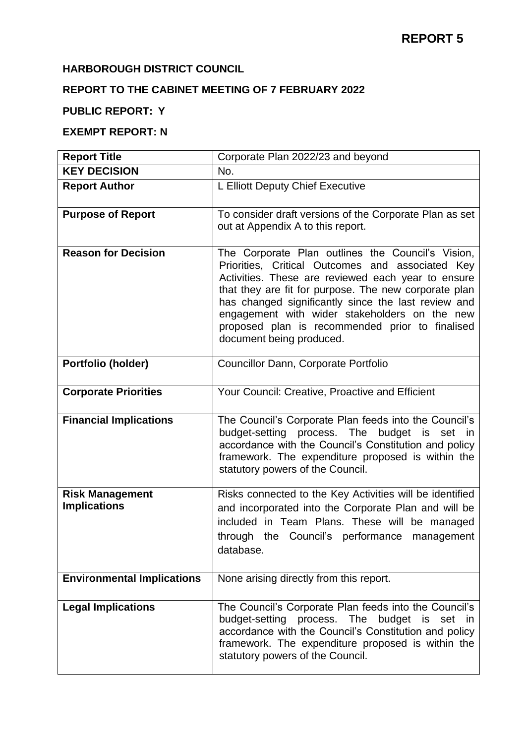## **HARBOROUGH DISTRICT COUNCIL**

# **REPORT TO THE CABINET MEETING OF 7 FEBRUARY 2022**

## **PUBLIC REPORT: Y**

## **EXEMPT REPORT: N**

| <b>Report Title</b>                           | Corporate Plan 2022/23 and beyond                                                                                                                                                                                                                                                                                                                                                                           |
|-----------------------------------------------|-------------------------------------------------------------------------------------------------------------------------------------------------------------------------------------------------------------------------------------------------------------------------------------------------------------------------------------------------------------------------------------------------------------|
| <b>KEY DECISION</b>                           | No.                                                                                                                                                                                                                                                                                                                                                                                                         |
| <b>Report Author</b>                          | L Elliott Deputy Chief Executive                                                                                                                                                                                                                                                                                                                                                                            |
| <b>Purpose of Report</b>                      | To consider draft versions of the Corporate Plan as set<br>out at Appendix A to this report.                                                                                                                                                                                                                                                                                                                |
| <b>Reason for Decision</b>                    | The Corporate Plan outlines the Council's Vision,<br>Priorities, Critical Outcomes and associated Key<br>Activities. These are reviewed each year to ensure<br>that they are fit for purpose. The new corporate plan<br>has changed significantly since the last review and<br>engagement with wider stakeholders on the new<br>proposed plan is recommended prior to finalised<br>document being produced. |
| Portfolio (holder)                            | Councillor Dann, Corporate Portfolio                                                                                                                                                                                                                                                                                                                                                                        |
| <b>Corporate Priorities</b>                   | Your Council: Creative, Proactive and Efficient                                                                                                                                                                                                                                                                                                                                                             |
| <b>Financial Implications</b>                 | The Council's Corporate Plan feeds into the Council's<br>budget-setting process. The budget is set in<br>accordance with the Council's Constitution and policy<br>framework. The expenditure proposed is within the<br>statutory powers of the Council.                                                                                                                                                     |
| <b>Risk Management</b><br><b>Implications</b> | Risks connected to the Key Activities will be identified<br>and incorporated into the Corporate Plan and will be<br>included in Team Plans. These will be managed<br>through the Council's performance<br>management<br>database.                                                                                                                                                                           |
| <b>Environmental Implications</b>             | None arising directly from this report.                                                                                                                                                                                                                                                                                                                                                                     |
| <b>Legal Implications</b>                     | The Council's Corporate Plan feeds into the Council's<br>budget-setting process. The<br>budget<br>is<br>set<br><b>in</b><br>accordance with the Council's Constitution and policy<br>framework. The expenditure proposed is within the<br>statutory powers of the Council.                                                                                                                                  |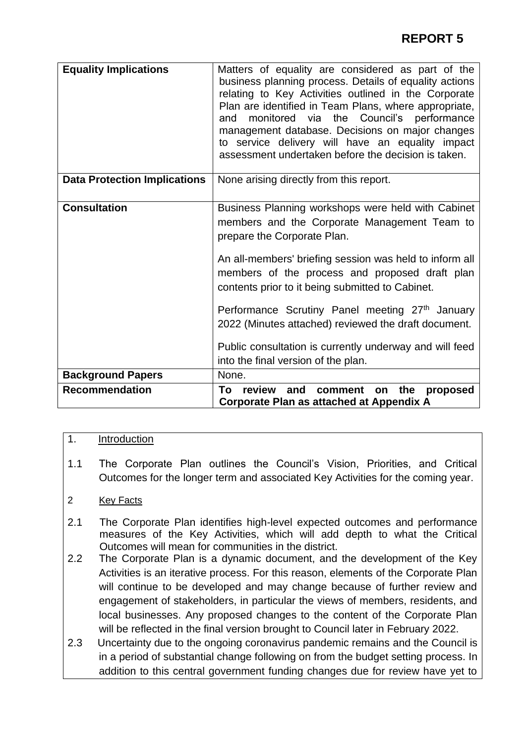| <b>Equality Implications</b>        | Matters of equality are considered as part of the<br>business planning process. Details of equality actions<br>relating to Key Activities outlined in the Corporate<br>Plan are identified in Team Plans, where appropriate,<br>the Council's performance<br>monitored via<br>and<br>management database. Decisions on major changes<br>to service delivery will have an equality impact<br>assessment undertaken before the decision is taken. |
|-------------------------------------|-------------------------------------------------------------------------------------------------------------------------------------------------------------------------------------------------------------------------------------------------------------------------------------------------------------------------------------------------------------------------------------------------------------------------------------------------|
| <b>Data Protection Implications</b> | None arising directly from this report.                                                                                                                                                                                                                                                                                                                                                                                                         |
| <b>Consultation</b>                 | Business Planning workshops were held with Cabinet<br>members and the Corporate Management Team to<br>prepare the Corporate Plan.                                                                                                                                                                                                                                                                                                               |
|                                     | An all-members' briefing session was held to inform all<br>members of the process and proposed draft plan<br>contents prior to it being submitted to Cabinet.                                                                                                                                                                                                                                                                                   |
|                                     | Performance Scrutiny Panel meeting 27 <sup>th</sup> January<br>2022 (Minutes attached) reviewed the draft document.                                                                                                                                                                                                                                                                                                                             |
|                                     | Public consultation is currently underway and will feed<br>into the final version of the plan.                                                                                                                                                                                                                                                                                                                                                  |
| <b>Background Papers</b>            | None.                                                                                                                                                                                                                                                                                                                                                                                                                                           |
| <b>Recommendation</b>               | review and<br>the<br>Τo<br>comment<br>proposed<br>on<br>Corporate Plan as attached at Appendix A                                                                                                                                                                                                                                                                                                                                                |

## 1. Introduction

- 1.1 The Corporate Plan outlines the Council's Vision, Priorities, and Critical Outcomes for the longer term and associated Key Activities for the coming year.
- 2 Key Facts
- 2.1 The Corporate Plan identifies high-level expected outcomes and performance measures of the Key Activities, which will add depth to what the Critical Outcomes will mean for communities in the district.
- 2.2 The Corporate Plan is a dynamic document, and the development of the Key Activities is an iterative process. For this reason, elements of the Corporate Plan will continue to be developed and may change because of further review and engagement of stakeholders, in particular the views of members, residents, and local businesses. Any proposed changes to the content of the Corporate Plan will be reflected in the final version brought to Council later in February 2022.
- 2.3 Uncertainty due to the ongoing coronavirus pandemic remains and the Council is in a period of substantial change following on from the budget setting process. In addition to this central government funding changes due for review have yet to